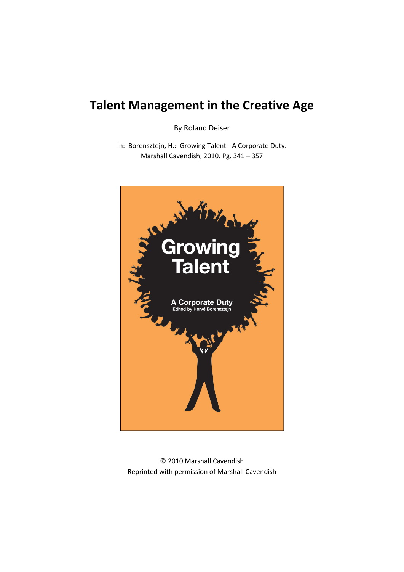# **Talent Management in the Creative Age**

By Roland Deiser

In: Borensztejn, H.: Growing Talent - A Corporate Duty. Marshall Cavendish, 2010. Pg. 341 – 357



© 2010 Marshall Cavendish Reprinted with permission of Marshall Cavendish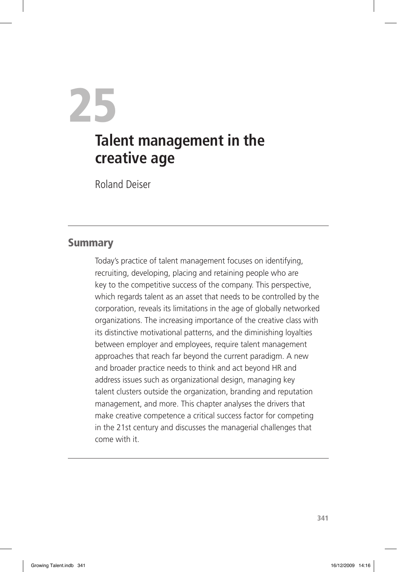25 **Talent management in the creative age**

Roland Deiser

#### **Summary**

Today's practice of talent management focuses on identifying, recruiting, developing, placing and retaining people who are key to the competitive success of the company. This perspective, which regards talent as an asset that needs to be controlled by the corporation, reveals its limitations in the age of globally networked organizations. The increasing importance of the creative class with its distinctive motivational patterns, and the diminishing loyalties between employer and employees, require talent management approaches that reach far beyond the current paradigm. A new and broader practice needs to think and act beyond HR and address issues such as organizational design, managing key talent clusters outside the organization, branding and reputation management, and more. This chapter analyses the drivers that make creative competence a critical success factor for competing in the 21st century and discusses the managerial challenges that come with it.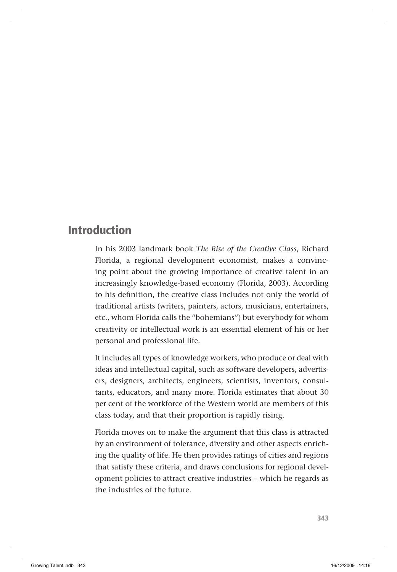### Introduction

In his 2003 landmark book *The Rise of the Creative Class*, Richard Florida, a regional development economist, makes a convincing point about the growing importance of creative talent in an increasingly knowledge-based economy (Florida, 2003). According to his definition, the creative class includes not only the world of traditional artists (writers, painters, actors, musicians, entertainers, etc., whom Florida calls the "bohemians") but everybody for whom creativity or intellectual work is an essential element of his or her personal and professional life.

It includes all types of knowledge workers, who produce or deal with ideas and intellectual capital, such as software developers, advertisers, designers, architects, engineers, scientists, inventors, consultants, educators, and many more. Florida estimates that about 30 per cent of the workforce of the Western world are members of this class today, and that their proportion is rapidly rising.

Florida moves on to make the argument that this class is attracted by an environment of tolerance, diversity and other aspects enriching the quality of life. He then provides ratings of cities and regions that satisfy these criteria, and draws conclusions for regional development policies to attract creative industries – which he regards as the industries of the future.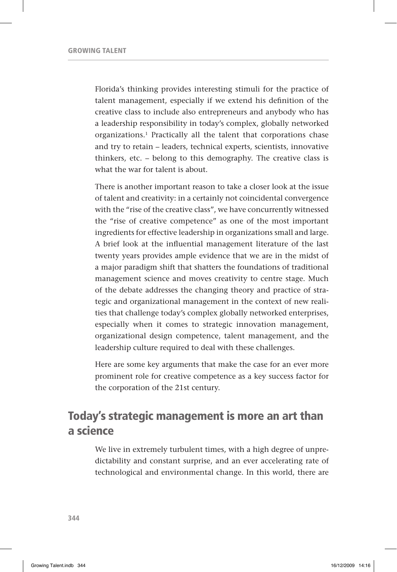Florida's thinking provides interesting stimuli for the practice of talent management, especially if we extend his definition of the creative class to include also entrepreneurs and anybody who has a leadership responsibility in today's complex, globally networked organizations.1 Practically all the talent that corporations chase and try to retain – leaders, technical experts, scientists, innovative thinkers, etc. – belong to this demography. The creative class is what the war for talent is about.

There is another important reason to take a closer look at the issue of talent and creativity: in a certainly not coincidental convergence with the "rise of the creative class", we have concurrently witnessed the "rise of creative competence" as one of the most important ingredients for effective leadership in organizations small and large. A brief look at the influential management literature of the last twenty years provides ample evidence that we are in the midst of a major paradigm shift that shatters the foundations of traditional management science and moves creativity to centre stage. Much of the debate addresses the changing theory and practice of strategic and organizational management in the context of new realities that challenge today's complex globally networked enterprises, especially when it comes to strategic innovation management, organizational design competence, talent management, and the leadership culture required to deal with these challenges.

Here are some key arguments that make the case for an ever more prominent role for creative competence as a key success factor for the corporation of the 21st century.

### Today's strategic management is more an art than a science

We live in extremely turbulent times, with a high degree of unpredictability and constant surprise, and an ever accelerating rate of technological and environmental change. In this world, there are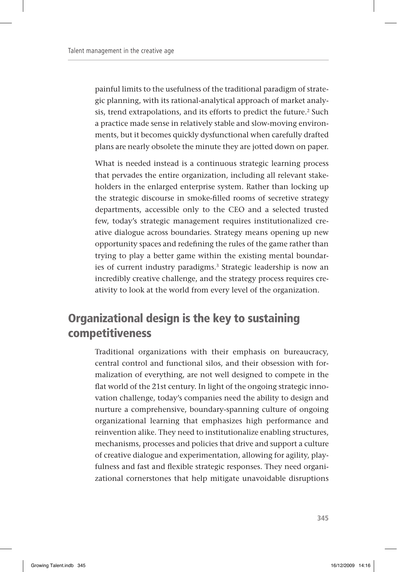painful limits to the usefulness of the traditional paradigm of strategic planning, with its rational-analytical approach of market analysis, trend extrapolations, and its efforts to predict the future.<sup>2</sup> Such a practice made sense in relatively stable and slow-moving environments, but it becomes quickly dysfunctional when carefully drafted plans are nearly obsolete the minute they are jotted down on paper.

What is needed instead is a continuous strategic learning process that pervades the entire organization, including all relevant stakeholders in the enlarged enterprise system. Rather than locking up the strategic discourse in smoke-filled rooms of secretive strategy departments, accessible only to the CEO and a selected trusted few, today's strategic management requires institutionalized creative dialogue across boundaries. Strategy means opening up new opportunity spaces and redefining the rules of the game rather than trying to play a better game within the existing mental boundaries of current industry paradigms.<sup>3</sup> Strategic leadership is now an incredibly creative challenge, and the strategy process requires creativity to look at the world from every level of the organization.

# Organizational design is the key to sustaining competitiveness

Traditional organizations with their emphasis on bureaucracy, central control and functional silos, and their obsession with formalization of everything, are not well designed to compete in the flat world of the 21st century. In light of the ongoing strategic innovation challenge, today's companies need the ability to design and nurture a comprehensive, boundary-spanning culture of ongoing organizational learning that emphasizes high performance and reinvention alike. They need to institutionalize enabling structures, mechanisms, processes and policies that drive and support a culture of creative dialogue and experimentation, allowing for agility, playfulness and fast and flexible strategic responses. They need organizational cornerstones that help mitigate unavoidable disruptions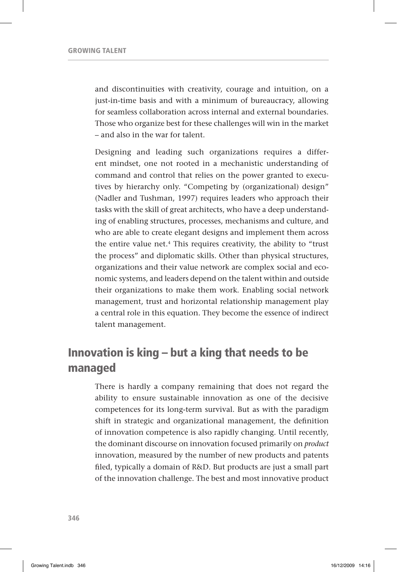and discontinuities with creativity, courage and intuition, on a just-in-time basis and with a minimum of bureaucracy, allowing for seamless collaboration across internal and external boundaries. Those who organize best for these challenges will win in the market – and also in the war for talent.

Designing and leading such organizations requires a different mindset, one not rooted in a mechanistic understanding of command and control that relies on the power granted to executives by hierarchy only. "Competing by (organizational) design" (Nadler and Tushman, 1997) requires leaders who approach their tasks with the skill of great architects, who have a deep understanding of enabling structures, processes, mechanisms and culture, and who are able to create elegant designs and implement them across the entire value net.4 This requires creativity, the ability to "trust the process" and diplomatic skills. Other than physical structures, organizations and their value network are complex social and economic systems, and leaders depend on the talent within and outside their organizations to make them work. Enabling social network management, trust and horizontal relationship management play a central role in this equation. They become the essence of indirect talent management.

# Innovation is king – but a king that needs to be managed

There is hardly a company remaining that does not regard the ability to ensure sustainable innovation as one of the decisive competences for its long-term survival. But as with the paradigm shift in strategic and organizational management, the definition of innovation competence is also rapidly changing. Until recently, the dominant discourse on innovation focused primarily on *product* innovation, measured by the number of new products and patents filed, typically a domain of R&D. But products are just a small part of the innovation challenge. The best and most innovative product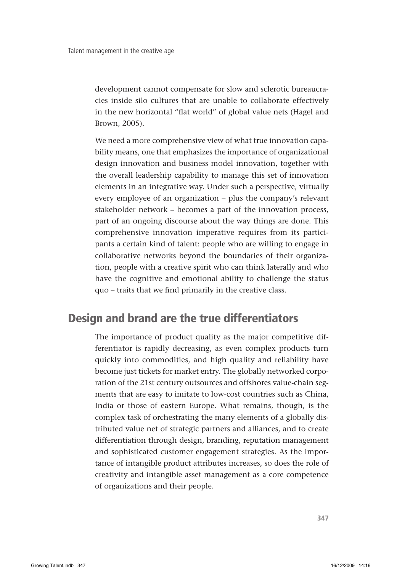development cannot compensate for slow and sclerotic bureaucracies inside silo cultures that are unable to collaborate effectively in the new horizontal "flat world" of global value nets (Hagel and Brown, 2005).

We need a more comprehensive view of what true innovation capability means, one that emphasizes the importance of organizational design innovation and business model innovation, together with the overall leadership capability to manage this set of innovation elements in an integrative way. Under such a perspective, virtually every employee of an organization – plus the company's relevant stakeholder network – becomes a part of the innovation process, part of an ongoing discourse about the way things are done. This comprehensive innovation imperative requires from its participants a certain kind of talent: people who are willing to engage in collaborative networks beyond the boundaries of their organization, people with a creative spirit who can think laterally and who have the cognitive and emotional ability to challenge the status quo – traits that we find primarily in the creative class.

### Design and brand are the true differentiators

The importance of product quality as the major competitive differentiator is rapidly decreasing, as even complex products turn quickly into commodities, and high quality and reliability have become just tickets for market entry. The globally networked corporation of the 21st century outsources and offshores value-chain segments that are easy to imitate to low-cost countries such as China, India or those of eastern Europe. What remains, though, is the complex task of orchestrating the many elements of a globally distributed value net of strategic partners and alliances, and to create differentiation through design, branding, reputation management and sophisticated customer engagement strategies. As the importance of intangible product attributes increases, so does the role of creativity and intangible asset management as a core competence of organizations and their people.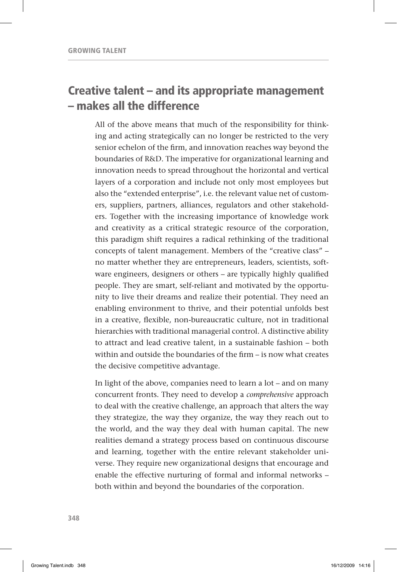### Creative talent – and its appropriate management – makes all the difference

All of the above means that much of the responsibility for thinking and acting strategically can no longer be restricted to the very senior echelon of the firm, and innovation reaches way beyond the boundaries of R&D. The imperative for organizational learning and innovation needs to spread throughout the horizontal and vertical layers of a corporation and include not only most employees but also the "extended enterprise", i.e. the relevant value net of customers, suppliers, partners, alliances, regulators and other stakeholders. Together with the increasing importance of knowledge work and creativity as a critical strategic resource of the corporation, this paradigm shift requires a radical rethinking of the traditional concepts of talent management. Members of the "creative class" – no matter whether they are entrepreneurs, leaders, scientists, software engineers, designers or others – are typically highly qualified people. They are smart, self-reliant and motivated by the opportunity to live their dreams and realize their potential. They need an enabling environment to thrive, and their potential unfolds best in a creative, flexible, non-bureaucratic culture, not in traditional hierarchies with traditional managerial control. A distinctive ability to attract and lead creative talent, in a sustainable fashion – both within and outside the boundaries of the firm – is now what creates the decisive competitive advantage.

In light of the above, companies need to learn a lot – and on many concurrent fronts. They need to develop a *comprehensive* approach to deal with the creative challenge, an approach that alters the way they strategize, the way they organize, the way they reach out to the world, and the way they deal with human capital. The new realities demand a strategy process based on continuous discourse and learning, together with the entire relevant stakeholder universe. They require new organizational designs that encourage and enable the effective nurturing of formal and informal networks – both within and beyond the boundaries of the corporation.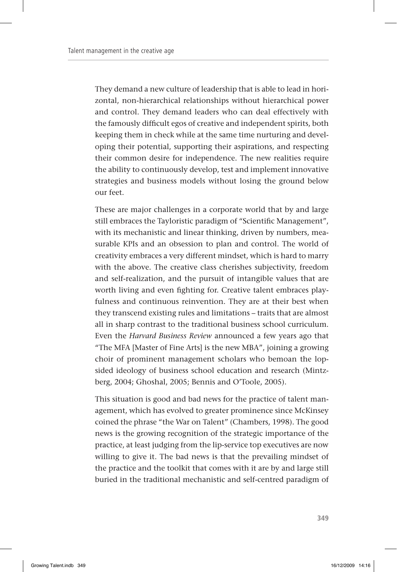They demand a new culture of leadership that is able to lead in horizontal, non-hierarchical relationships without hierarchical power and control. They demand leaders who can deal effectively with the famously difficult egos of creative and independent spirits, both keeping them in check while at the same time nurturing and developing their potential, supporting their aspirations, and respecting their common desire for independence. The new realities require the ability to continuously develop, test and implement innovative strategies and business models without losing the ground below our feet.

These are major challenges in a corporate world that by and large still embraces the Tayloristic paradigm of "Scientific Management", with its mechanistic and linear thinking, driven by numbers, measurable KPIs and an obsession to plan and control. The world of creativity embraces a very different mindset, which is hard to marry with the above. The creative class cherishes subjectivity, freedom and self-realization, and the pursuit of intangible values that are worth living and even fighting for. Creative talent embraces playfulness and continuous reinvention. They are at their best when they transcend existing rules and limitations – traits that are almost all in sharp contrast to the traditional business school curriculum. Even the *Harvard Business Review* announced a few years ago that "The MFA [Master of Fine Arts] is the new MBA", joining a growing choir of prominent management scholars who bemoan the lopsided ideology of business school education and research (Mintzberg, 2004; Ghoshal, 2005; Bennis and O'Toole, 2005).

This situation is good and bad news for the practice of talent management, which has evolved to greater prominence since McKinsey coined the phrase "the War on Talent" (Chambers, 1998). The good news is the growing recognition of the strategic importance of the practice, at least judging from the lip-service top executives are now willing to give it. The bad news is that the prevailing mindset of the practice and the toolkit that comes with it are by and large still buried in the traditional mechanistic and self-centred paradigm of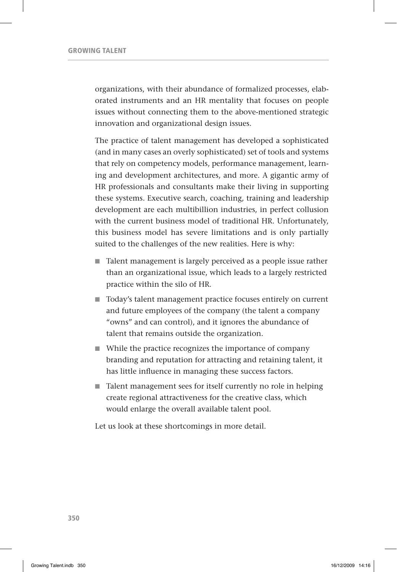organizations, with their abundance of formalized processes, elaborated instruments and an HR mentality that focuses on people issues without connecting them to the above-mentioned strategic innovation and organizational design issues.

The practice of talent management has developed a sophisticated (and in many cases an overly sophisticated) set of tools and systems that rely on competency models, performance management, learning and development architectures, and more. A gigantic army of HR professionals and consultants make their living in supporting these systems. Executive search, coaching, training and leadership development are each multibillion industries, in perfect collusion with the current business model of traditional HR. Unfortunately, this business model has severe limitations and is only partially suited to the challenges of the new realities. Here is why:

- Talent management is largely perceived as a people issue rather than an organizational issue, which leads to a largely restricted practice within the silo of HR.
- Today's talent management practice focuses entirely on current and future employees of the company (the talent a company "owns" and can control), and it ignores the abundance of talent that remains outside the organization.
- While the practice recognizes the importance of company branding and reputation for attracting and retaining talent, it has little influence in managing these success factors.
- Talent management sees for itself currently no role in helping create regional attractiveness for the creative class, which would enlarge the overall available talent pool.

Let us look at these shortcomings in more detail.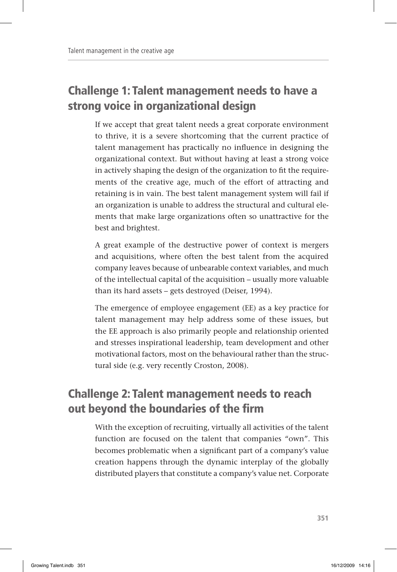# Challenge 1: Talent management needs to have a strong voice in organizational design

If we accept that great talent needs a great corporate environment to thrive, it is a severe shortcoming that the current practice of talent management has practically no influence in designing the organizational context. But without having at least a strong voice in actively shaping the design of the organization to fit the requirements of the creative age, much of the effort of attracting and retaining is in vain. The best talent management system will fail if an organization is unable to address the structural and cultural elements that make large organizations often so unattractive for the best and brightest.

A great example of the destructive power of context is mergers and acquisitions, where often the best talent from the acquired company leaves because of unbearable context variables, and much of the intellectual capital of the acquisition – usually more valuable than its hard assets – gets destroyed (Deiser, 1994).

The emergence of employee engagement (EE) as a key practice for talent management may help address some of these issues, but the EE approach is also primarily people and relationship oriented and stresses inspirational leadership, team development and other motivational factors, most on the behavioural rather than the structural side (e.g. very recently Croston, 2008).

# Challenge 2: Talent management needs to reach out beyond the boundaries of the firm

With the exception of recruiting, virtually all activities of the talent function are focused on the talent that companies "own". This becomes problematic when a significant part of a company's value creation happens through the dynamic interplay of the globally distributed players that constitute a company's value net. Corporate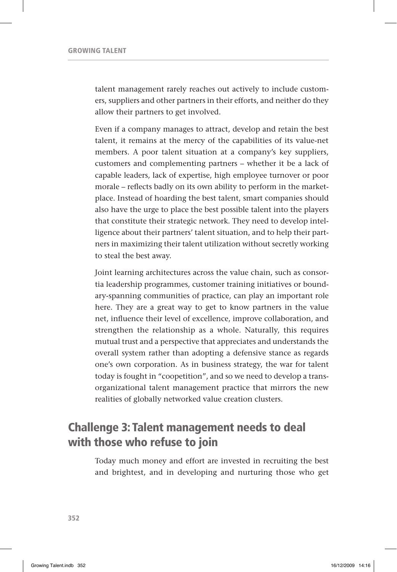talent management rarely reaches out actively to include customers, suppliers and other partners in their efforts, and neither do they allow their partners to get involved.

Even if a company manages to attract, develop and retain the best talent, it remains at the mercy of the capabilities of its value-net members. A poor talent situation at a company's key suppliers, customers and complementing partners – whether it be a lack of capable leaders, lack of expertise, high employee turnover or poor morale – reflects badly on its own ability to perform in the marketplace. Instead of hoarding the best talent, smart companies should also have the urge to place the best possible talent into the players that constitute their strategic network. They need to develop intelligence about their partners' talent situation, and to help their partners in maximizing their talent utilization without secretly working to steal the best away.

Joint learning architectures across the value chain, such as consortia leadership programmes, customer training initiatives or boundary-spanning communities of practice, can play an important role here. They are a great way to get to know partners in the value net, influence their level of excellence, improve collaboration, and strengthen the relationship as a whole. Naturally, this requires mutual trust and a perspective that appreciates and understands the overall system rather than adopting a defensive stance as regards one's own corporation. As in business strategy, the war for talent today is fought in "coopetition", and so we need to develop a transorganizational talent management practice that mirrors the new realities of globally networked value creation clusters.

### Challenge 3: Talent management needs to deal with those who refuse to join

Today much money and effort are invested in recruiting the best and brightest, and in developing and nurturing those who get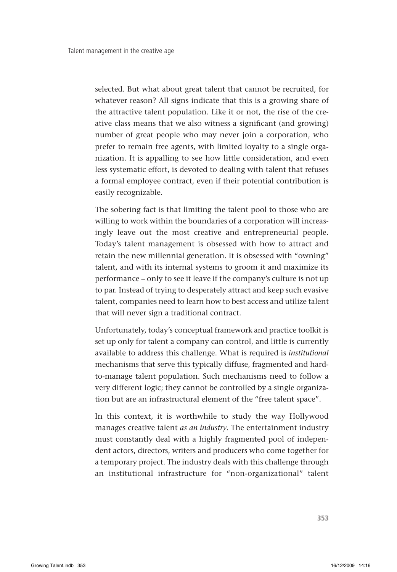selected. But what about great talent that cannot be recruited, for whatever reason? All signs indicate that this is a growing share of the attractive talent population. Like it or not, the rise of the creative class means that we also witness a significant (and growing) number of great people who may never join a corporation, who prefer to remain free agents, with limited loyalty to a single organization. It is appalling to see how little consideration, and even less systematic effort, is devoted to dealing with talent that refuses a formal employee contract, even if their potential contribution is easily recognizable.

The sobering fact is that limiting the talent pool to those who are willing to work within the boundaries of a corporation will increasingly leave out the most creative and entrepreneurial people. Today's talent management is obsessed with how to attract and retain the new millennial generation. It is obsessed with "owning" talent, and with its internal systems to groom it and maximize its performance – only to see it leave if the company's culture is not up to par. Instead of trying to desperately attract and keep such evasive talent, companies need to learn how to best access and utilize talent that will never sign a traditional contract.

Unfortunately, today's conceptual framework and practice toolkit is set up only for talent a company can control, and little is currently available to address this challenge. What is required is *institutional* mechanisms that serve this typically diffuse, fragmented and hardto-manage talent population. Such mechanisms need to follow a very different logic; they cannot be controlled by a single organization but are an infrastructural element of the "free talent space".

In this context, it is worthwhile to study the way Hollywood manages creative talent *as an industry*. The entertainment industry must constantly deal with a highly fragmented pool of independent actors, directors, writers and producers who come together for a temporary project. The industry deals with this challenge through an institutional infrastructure for "non-organizational" talent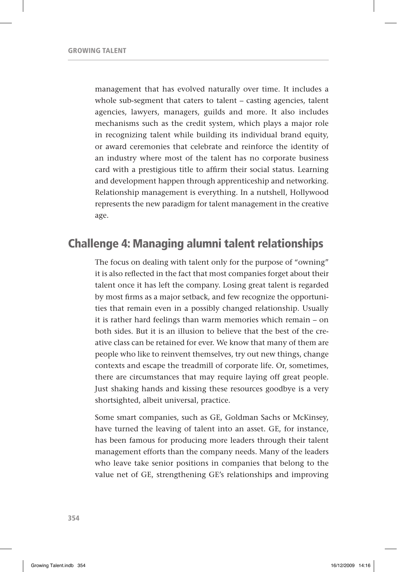management that has evolved naturally over time. It includes a whole sub-segment that caters to talent – casting agencies, talent agencies, lawyers, managers, guilds and more. It also includes mechanisms such as the credit system, which plays a major role in recognizing talent while building its individual brand equity, or award ceremonies that celebrate and reinforce the identity of an industry where most of the talent has no corporate business card with a prestigious title to affirm their social status. Learning and development happen through apprenticeship and networking. Relationship management is everything. In a nutshell, Hollywood represents the new paradigm for talent management in the creative age.

### Challenge 4: Managing alumni talent relationships

The focus on dealing with talent only for the purpose of "owning" it is also reflected in the fact that most companies forget about their talent once it has left the company. Losing great talent is regarded by most firms as a major setback, and few recognize the opportunities that remain even in a possibly changed relationship. Usually it is rather hard feelings than warm memories which remain – on both sides. But it is an illusion to believe that the best of the creative class can be retained for ever. We know that many of them are people who like to reinvent themselves, try out new things, change contexts and escape the treadmill of corporate life. Or, sometimes, there are circumstances that may require laying off great people. Just shaking hands and kissing these resources goodbye is a very shortsighted, albeit universal, practice.

Some smart companies, such as GE, Goldman Sachs or McKinsey, have turned the leaving of talent into an asset. GE, for instance, has been famous for producing more leaders through their talent management efforts than the company needs. Many of the leaders who leave take senior positions in companies that belong to the value net of GE, strengthening GE's relationships and improving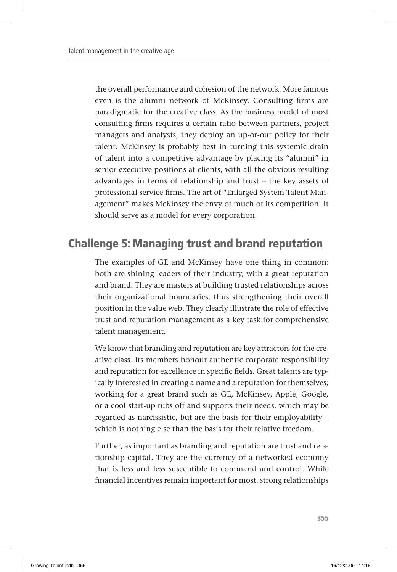the overall performance and cohesion of the network. More famous even is the alumni network of McKinsey. Consulting firms are paradigmatic for the creative class. As the business model of most consulting firms requires a certain ratio between partners, project managers and analysts, they deploy an up-or-out policy for their talent. McKinsey is probably best in turning this systemic drain of talent into a competitive advantage by placing its "alumni" in senior executive positions at clients, with all the obvious resulting advantages in terms of relationship and trust – the key assets of professional service firms. The art of "Enlarged System Talent Management" makes McKinsey the envy of much of its competition. It should serve as a model for every corporation.

### Challenge 5: Managing trust and brand reputation

The examples of GE and McKinsey have one thing in common: both are shining leaders of their industry, with a great reputation and brand. They are masters at building trusted relationships across their organizational boundaries, thus strengthening their overall position in the value web. They clearly illustrate the role of effective trust and reputation management as a key task for comprehensive talent management.

We know that branding and reputation are key attractors for the creative class. Its members honour authentic corporate responsibility and reputation for excellence in specific fields. Great talents are typically interested in creating a name and a reputation for themselves; working for a great brand such as GE, McKinsey, Apple, Google, or a cool start-up rubs off and supports their needs, which may be regarded as narcissistic, but are the basis for their employability – which is nothing else than the basis for their relative freedom.

Further, as important as branding and reputation are trust and relationship capital. They are the currency of a networked economy that is less and less susceptible to command and control. While financial incentives remain important for most, strong relationships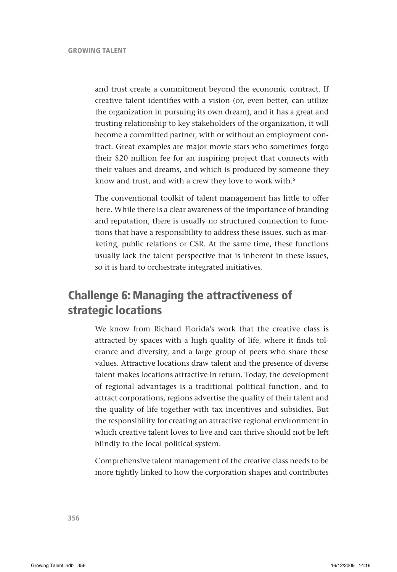and trust create a commitment beyond the economic contract. If creative talent identifies with a vision (or, even better, can utilize the organization in pursuing its own dream), and it has a great and trusting relationship to key stakeholders of the organization, it will become a committed partner, with or without an employment contract. Great examples are major movie stars who sometimes forgo their \$20 million fee for an inspiring project that connects with their values and dreams, and which is produced by someone they know and trust, and with a crew they love to work with.<sup>5</sup>

The conventional toolkit of talent management has little to offer here. While there is a clear awareness of the importance of branding and reputation, there is usually no structured connection to functions that have a responsibility to address these issues, such as marketing, public relations or CSR. At the same time, these functions usually lack the talent perspective that is inherent in these issues, so it is hard to orchestrate integrated initiatives.

### Challenge 6: Managing the attractiveness of strategic locations

We know from Richard Florida's work that the creative class is attracted by spaces with a high quality of life, where it finds tolerance and diversity, and a large group of peers who share these values. Attractive locations draw talent and the presence of diverse talent makes locations attractive in return. Today, the development of regional advantages is a traditional political function, and to attract corporations, regions advertise the quality of their talent and the quality of life together with tax incentives and subsidies. But the responsibility for creating an attractive regional environment in which creative talent loves to live and can thrive should not be left blindly to the local political system.

Comprehensive talent management of the creative class needs to be more tightly linked to how the corporation shapes and contributes